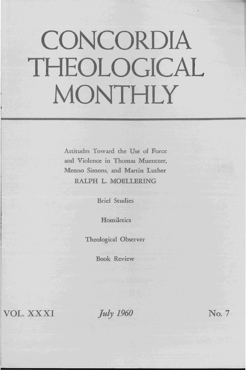## **CONCORDIA THEOLOGICAL MONTHLY**

Attitudes Toward the Use of Force and Violence in Thomas Muentzer, Menno Simons, and Martin Luther RALPH L. MOELLERING

Brief Studies

**Homiletics** 

Theological Observer

Book Review

VOL. XXXI

*July 1960* No. 7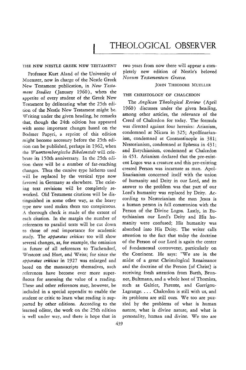THE NEW NESTLE GREEK NEW TESTAMENT

Professor Kurt Aland of the University of Muenster, now in charge of the Nestle Greek New Testament publication, in *New Testament Studies* (January 1960), whets the appetite of every student of the Greek New Testament by delineating what the 25th edition of the Nestle New Testament might be. Writing under the given heading, he remarks that, though the 24th edition has appeared with some important changes based on the Bodmer Papyri, a reprint of this edition might become necessary before the 25th edicion can be published, perhaps in 1962, when the *Wuerttembergische Bibelanstalt* will celebrate its 150th anniversary. In the 25th edition there will be a number of far-reaching changes. Thus the cursive type hitherto used will be replaced by the vertical type now favored in Germany as elsewhere. The existing text revisions will be completely reworked. Old Testament citations will be dis tinguished in some other way, as the heavy type now used makes them too conspicuous. A thorough check is made of the extent of each citation. In the margin the number of references to parallel texts will be cut down to those of real importance for academic study. The *apparatus criticus* too will show several changes, as, for example, the omission in future of all references to Tischendorf, Westcott and Hort, and Weiss; for since the apparatus criticus in 1927 was enlarged and based on the manuscripts themselves, such references have become ever more superfluous for assessing the value of a reading. These and other references may, however, be included in a special appendix to enable the student or critic to learn what reading is supported by other editions. According to the learned editor, the work on the 25th edition is well under way, and there is hope that in

two years from now there will appear a completely new edition of Nestle's beloved  $Nowum$  Testamentum Graece.

## JOHN THEODORE MUELLER

## THE CHRISTOLOGY OF CHALCEDON

The *Anglican Theological Review* (April 1960) discusses under the given heading, among other articles, the relevance of the Creed of Chalcedon for today. The formula was directed against four heresies: Arianism, condemned at Nicaea in 325; Apollinarianism, condemned at Constantinople in 381; Nestorianism, condemned at Ephesus in 431; and Eutychianism, condemned at Chalcedon in 451. Arianism declared that the pre-existent Logos was a creature and this pre-existing created Person was incarnate as man. Apol· linarianism concerned itself with the union of humanity and Deity in our Lord, and its answer to the problem was that part of our Lord's humanity was replaced by Deity. According to Nestorianism the man Jesus is a human person in full communion with the Person of the Divine Logos. Lastly, in Eutychianism our Lord's Deity and His humanity were confused; His humanity was absorbed into His Deity. The writer calIs attention to the fact that today the doctrine of the Person of our Lord is again the center of fundamental controversy, particularly on the Continent. He says: "We are in the midst of a great Christological Renaissance and the doctrine of the Person [of Christ} is receiving fresh atrention from Barth, Brunner, Bultmann, and a whole host of Thomists, such as Galtier, Parente, and Garrigou-Lagrange. . .. Chalcedon is still with us, and its problems are still ours. We too are puz· zled by the problems of what is human nature, what is divine nature, and what is personality, human and divine. We too are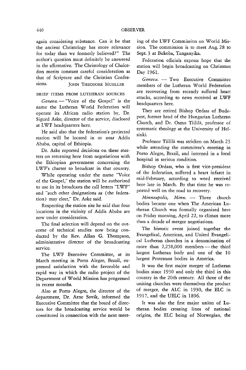again considering substance. Can it be that the ancient Christology has more relevance for today than we formerly believed?" The author's question must definitely be answered in the affirmative. The Christology of Chalcedon merits constant careful consideration as that of Scripture and the Christian Confessions. **JOHN THEODORE MUELLER** 

BRIEF ITEMS FROM LUTHERAN SOURCES

*Geneva.* - "Voice of the Gospel" is the name the Lutheran World Federation will operate its African radio station by, Dr. Sigurd Aske, director of the service, disclosed at LWF headquarters here.

He said also that the federation's projected station will be located in or near Addis Ababa, capital of Ethiopia.

Dr. Aske reported decisions on these matters on returning here from negotiations with the Ethiopian government concerning the LWF's charter to broadcast in that country.

While operating under the name "Voice of the Gospel," the station will be authorized to use in its broadcasts the call letters "LWF" and "such other designations as (the federation) may elect," Dr. Aske said.

Respecting the station site he said that four locations in the vicinity of Addis Ababa are now under consideration.

The final selection will depend on the outcome of technical studies now being conducted by the Rev. Allan G. Thompson, administrative director of the broadcasting service.

The LWF Executive Committee, at its March meeting in Porto Alegre, Brazil, expressed satisfaction with the favorable and rapid way in which the radio project of the Department of World Mission has progressed in recent months.

Also at Porto Alegre, the director of the department, Dr. Arne Sovik, informed the Executive Committee that the board of directors for the broadcasting service would be constituted in connection with the next meeting of the LWF Commission on World Mission. The commission is to meet Aug. 28 to Sept. 3 at Bukoba, Tanganyika.

Federation officials express hope that the station will begin broadcasting on Christmas Day 1961.

Geneva. - Two Executive Committee members of the Lutheran World Federation are recovering from recently suffered heart attacks, according to news received at LWF headquarters here.

They are retired Bishop Ordass of Budapest, former head of the Hungarian Lutheran Church, and Dr. Osmo Tiililä, professor of systematic theology at the University of Helsinki.

Professor Tiililä was stricken on March 23 while attending the committee's meeting in Porto Alegre, Brazil, and interned in a local hospital in serious condition.

Bishop Ordass, who is first vice-president of the federation, suffered a heart infarct in mid· February, according to word received here late in March. By that time he was reported well on the road to recovery.

*Minneapolis, Minn.* - Three church bodies became one when The American Lutheran Church was formally organized here on Friday morning, April 22, to climax more than a decade of merger negotiations.

The historic event joined together the Evangelical, American, and United Evangelical Lutheran churches in a denomination of more than  $2,258,000$  members — the third largest Lutheran body and one of the 10 largest Protestant bodies in America.

It was the first major merger of Lutheran bodies since 1930 and only the third in this country in the 20th century. All three of the uniting churches were themselves the product of merger, the ALC in 1930, the ELC in 1917, and the UELC in 1896.

It was also the first major union of Lutheran bodies crossing lines of national origins, the ELC being of Norwegian, the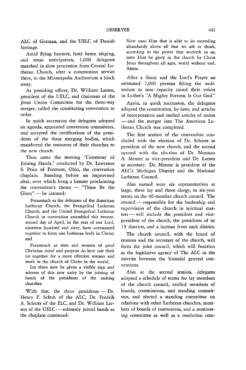ALC of German, and the UELC of Danish heritage.

Amid fiying banners, lusty hymn singing, and tense anticipation, 1,000 delegates marched in slow procession from Central Lutheran Church, after a communion service there, to the Minneapolis Auditorium a block away.

As presiding officer, Dr. William Larsen, president of the UELC, and chairman of the Joint Union Committee for the three-way merger, called the constituting convention to order.

In quick succession the delegates adopted an agenda, appointed convention committees, and accepted the certifications of the presidents of the three merging bodies, which transferred the resources of their churches to the new church.

Then came the moving "Ceremony of Joining Hands," conducted by Dr. Lawrence S. Price of Fremont, Ohio, the convention chaplain. Standing before an improvised altar, over which hung a banner proclaiming the convention's theme - "Thine Be the Glory" - he intoned:

Forasmuch as the delegates of the American Lutheran Church, the Evangelical Lutheran Church, and the United Evangelical Lutheran Church in convention assembled this twentysecond day of April, in the year of our Lord, nineteen hundred and sixty, have covenanted together to form one Lutheran body in Christ; and

Forasmuch as men and women of good Christian mind and purpose do here cast their lot together for a more effective witness and work in the church of Christ in the world;

Let there now be given a visible sign and witness of this new unity by the joining of hands of the presidents of the uniting churches.

With that, the three presidents  $-$  Dr. Henry F. Schuh of the ALC, Dr. Fredrik A. Schiotz of the ELC, and Dr. William Larsen of the UELC - solemnly joined hands as the chaplain continued:

Now unto Him that is able to do exceeding abundantly above all that we ask or think, according to the power that worketh in us, unto Him be glory in the church by Christ Jesus throughout all ages, world without end. Amen.

After a litany and the Lord's Prayer an estimated 7,000 persons filling the auditorium to near capacity raised their voices in Luther's "A Mighty Fortress Is Our God."

Again, in quick succession, the delegates adopted the constitution, by-laws, and articles of incorporation and ratified articles of union - and the merger into The American Lutheran Church was completed.

The first session of the convention concluded with the election of Dr. Schiotz as president of the new church, and the second opened with the election of Dr. Norman A. Menter as vice-president and Dr. Larsen as secretary. Dr. Menter is president of the ALC's Michigan District and the National Lutheran Council.

Also named were six representatives at large, three lay and three clergy, to six-year terms on the 46-member church council. The council-responsible for the leadership and supervision of the church in spiritual matters - will include the president and vicepresident of the church, the presidents of its 19 districts, and a layman from each district.

The church council, with the board of trustees and the secretary of the church, will form the joint council, which will function as the legislative agency of The ALC in the interim between the biennial general conventions.

Also at the second session, delegates adopted a schedule of terms for lay members of the church council, ratified members of boards, commissions, and standing committees, and elected a standing committee on relations with other Lutheran churches, members of boards of institutions, and a nominating committee as well as a resolution com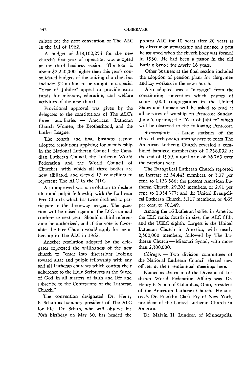mittee for the next convention of The ALC in the fall of 1962.

A budget of \$18,102,254 for the new church's first year of operation was adopted at the third business session. The total is about \$2,250,000 higher than this year's consolidated budgets of the uniting churches, but includes \$2 million to be sought in a special "Year of Jubilee" appeal to provide extra funds for missions, education, and welfare activities of the new church.

Provisional approval was given by the delegates to the constitutions of The ALC's three auxiliaries - American Lutheran Church Women, the Brotherhood, and the Luther League.

The fourth and final business session adopted resolutions applying for membership in the Nationai Lutheran Council, the Canadian Lutheran Council, the Lutheran World Federation and the World Council of Churches, with which all three bodies are now affiliated, and elected 15 councillors to represent The ALC in the NLC.

Also approved was a resolution to declare altar and pulpit fellowship with the Lutheran Free Church, which has twice declined to participate in the three-way merger. The question will be raised again at the LFC's annual conference next year. Should a third referendum be authorized, and if the vote is favorable, the Free Church would apply for membership in The ALC in 1962.

Another resolution adopted by the delegates expressed the willingness of the new church to "enter into discussions looking toward altar and pulpit fellowship with any and all Lutheran churches which confess their adherence to the Holy Scriptures as the Word of God in all matters of faith and life and subscribe to the Confessions of the Lutheran Church."

The convention designated Dr. Henry F. Schuh as honorary president of The ALC for life. Dr. Schuh, who will observe his 70th birthday on May 30, has headed the present ALC for 10 years after 20 years as its director of stewardship and finance, a post he assumed when the church body was formed in 1930. He had been a pastor in the old Buffalo Synod for nearly 16 years.

Other business at the final session included the adoption of pension plans for clergymen and lay workers in the new church.

Also adopted was a "message" from the constituting convention which pastors of some 5,000 congregations in the United States and Canada will be asked to read at all services of worship on Pentecost Sunday, June 5, opening the "Year of Jubilee" which will be observed to the following Pentecost.

*Minneapolis.* - Latest statistics of the three church bodies uniting here to form The American Lutheran Church revealed a combined baptized membership of 2,258,092 at the end of 1959, a total gain of 66,765 over the previous year.

The Evangelical Lutheran Church reported an increase of 34,445 members, or 3.07 per cent, to 1,153,566; the present American Lutheran Church, 29,203 members, or 2.91 per cent, to 1,034,377; and the United Evangelical Lutheran Church, 3,117 members, or 4.65 per cent, to 70,149.

Among the 16 Lutheran bodies in America the ELC ranks fourth in size, the ALC fifth, and the UELC eighth. Largest is the United Lutheran Church in America, with nearly 2,500,000 members, followed by The Lutheran Church - Missouri Synod, with more than 2,300,000.

*Chicago.* - Two division committees of the National Lutheran Council elected new officers at their semiannual meetings here.

Named as chairman of the Division of Lutheran World Federation Affairs was Dr. Henry F. Schuh of Columbus, Ohio, president of the American Lutheran Church. He succeeds Dr. Franklin Clark Fry of New York, president of the United Lutheran Church in America.

Dr. Malvin H. Lundeen of Minneapolis,